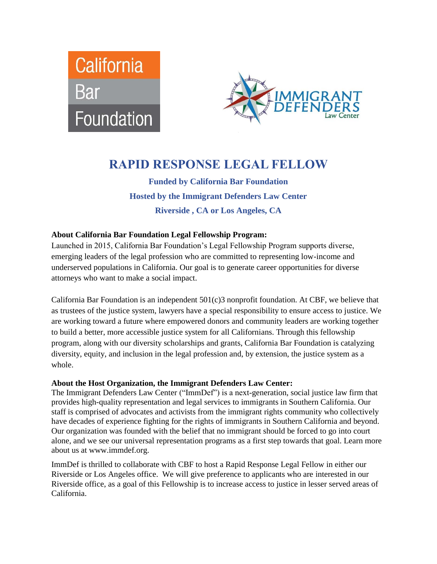



# **RAPID RESPONSE LEGAL FELLOW**

**Funded by California Bar Foundation Hosted by the Immigrant Defenders Law Center Riverside , CA or Los Angeles, CA**

## **About California Bar Foundation Legal Fellowship Program:**

Launched in 2015, California Bar Foundation's Legal Fellowship Program supports diverse, emerging leaders of the legal profession who are committed to representing low-income and underserved populations in California. Our goal is to generate career opportunities for diverse attorneys who want to make a social impact.

California Bar Foundation is an independent 501(c)3 nonprofit foundation. At CBF, we believe that as trustees of the justice system, lawyers have a special responsibility to ensure access to justice. We are working toward a future where empowered donors and community leaders are working together to build a better, more accessible justice system for all Californians. Through this fellowship program, along with our diversity scholarships and grants, California Bar Foundation is catalyzing diversity, equity, and inclusion in the legal profession and, by extension, the justice system as a whole.

#### **About the Host Organization, the Immigrant Defenders Law Center:**

The Immigrant Defenders Law Center ("ImmDef") is a next-generation, social justice law firm that provides high-quality representation and legal services to immigrants in Southern California. Our staff is comprised of advocates and activists from the immigrant rights community who collectively have decades of experience fighting for the rights of immigrants in Southern California and beyond. Our organization was founded with the belief that no immigrant should be forced to go into court alone, and we see our universal representation programs as a first step towards that goal. Learn more about us at www.immdef.org.

ImmDef is thrilled to collaborate with CBF to host a Rapid Response Legal Fellow in either our Riverside or Los Angeles office. We will give preference to applicants who are interested in our Riverside office, as a goal of this Fellowship is to increase access to justice in lesser served areas of California.